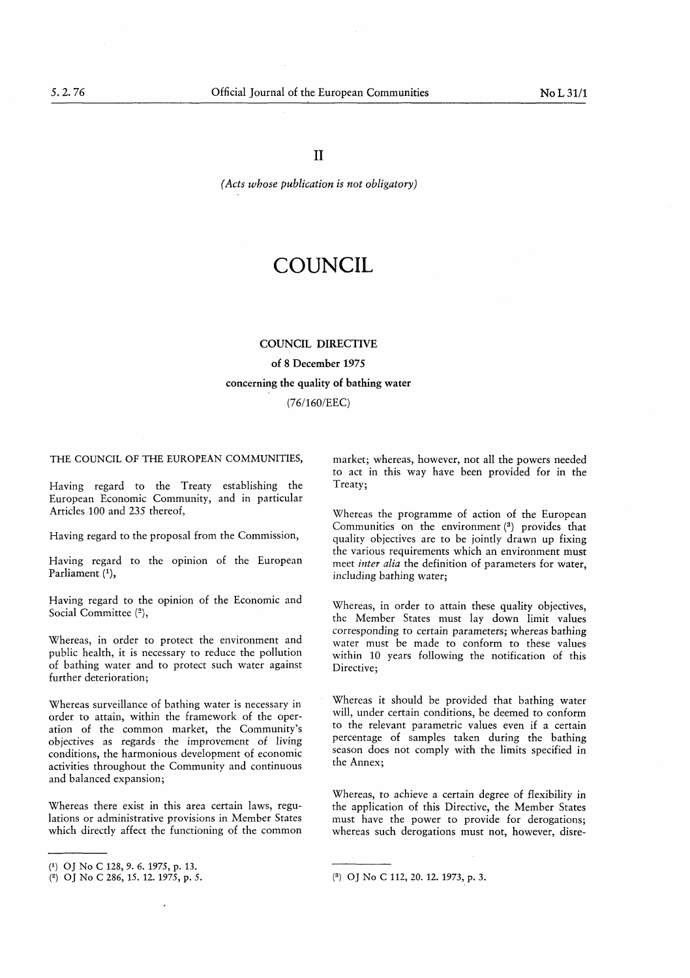(Acts whose publication is not obligatory)

# COUNCIL

# COUNCIL DIRECTIVE of 8 December 1975 concerning the quality of bathing water (76/160/EEC)

# THE COUNCIL OF THE EUROPEAN COMMUNITIES,

Having regard to the Treaty establishing the European Economic Community, and in particular Articles 100 and 235 thereof,

Having regard to the proposal from the Commission,

Having regard to the opinion of the European Parliament (1),

Having regard to the opinion of the Economic and Social Committee  $(2)$ ,

Whereas, in order to protect the environment and public health, it is necessary to reduce the pollution of bathing water and to protect such water against further deterioration;

Whereas surveillance of bathing water is necessary in order to attain, within the framework of the operation of the common market, the Community's objectives as regards the improvement of living conditions, the harmonious development of economic activities throughout the Community and continuous and balanced expansion;

Whereas there exist in this area certain laws, regulations or administrative provisions in Member States which directly affect the functioning of the common market; whereas, however, not all the powers needed to act in this way have been provided for in the Treaty;

Whereas the programme of action of the European Communities on the environment  $(3)$  provides that quality objectives are to be jointly drawn up fixing the various requirements which an environment must meet inter alia the definition of parameters for water, including bathing water;

Whereas, in order to attain these quality objectives, the Member States must lay down limit values corresponding to certain parameters; whereas bathing water must be made to conform to these values within 10 years following the notification of this Directive;

Whereas it should be provided that bathing water will, under certain conditions, be deemed to conform to the relevant parametric values even if a certain percentage of samples taken during the bathing season does not comply with the limits specified in the Annex;

Whereas, to achieve a certain degree of flexibility in the application of this Directive, the Member States must have the power to provide for derogations; whereas such derogations must not, however, disre

(3) OJ No C 112, 20. 12. 1973, p. 3.

<sup>(1)</sup> OJ No C 128, 9. 6. 1975, p. 13.<br>(2) OJ No C 286, 15. 12. 1975, p. 5.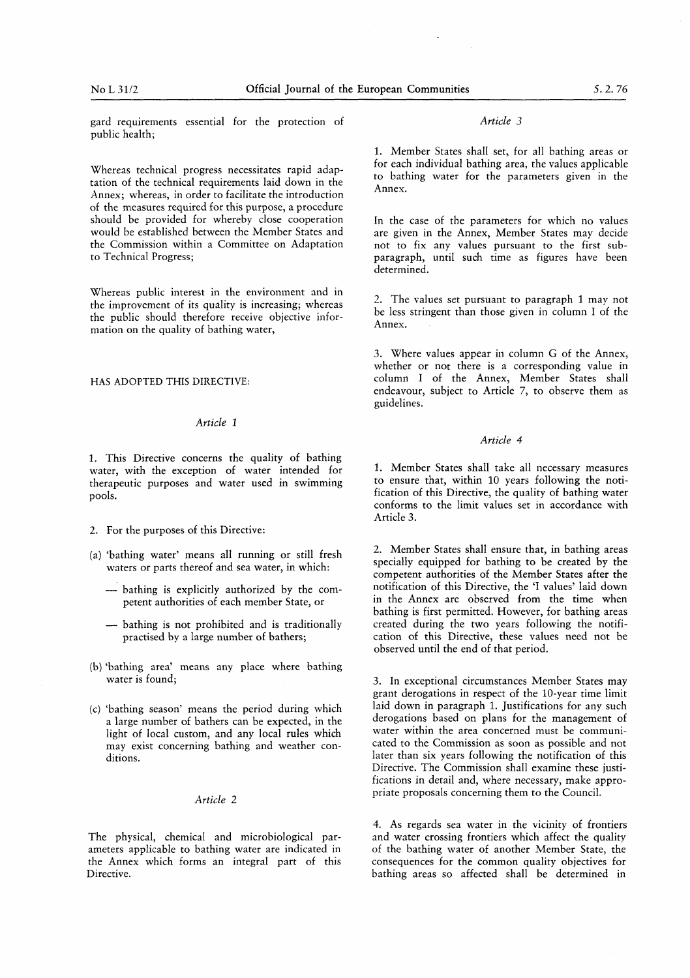gard requirements essential for the protection of Article 3 public health;

Whereas technical progress necessitates rapid adaptation of the technical requirements laid down in the Annex; whereas, in order to facilitate the introduction of the measures required for this purpose, a procedure should be provided for whereby close cooperation would be established between the Member States and the Commission within a Committee on Adaptation to Technical Progress;

Whereas public interest in the environment and in the improvement of its quality is increasing; whereas the public should therefore receive objective information on the quality of bathing water,

### HAS ADOPTED THIS DIRECTIVE:

# Article <sup>1</sup>

1. This Directive concerns the quality of bathing water, with the exception of water intended for therapeutic purposes and water used in swimming pools.

- 2. For the purposes of this Directive:
- (a) 'bathing water' means all running or still fresh waters or parts thereof and sea water, in which:
	- bathing is explicitly authorized by the competent authorities of each member State, or
	- bathing is not prohibited and is traditionally practised by a large number of bathers;
- (b) 'bathing area' means any place where bathing water is found;
- (c) 'bathing season' means the period during which a large number of bathers can be expected, in the light of local custom, and any local rules which may exist concerning bathing and weather conditions.

# Article 2

The physical, chemical and microbiological parameters applicable to bathing water are indicated in the Annex which forms an integral part of this Directive.

1. Member States shall set, for all bathing areas or for each individual bathing area, the values applicable to bathing water for the parameters given in the Annex.

In the case of the parameters for which no values are given in the Annex, Member States may decide not to fix any values pursuant to the first subparagraph, until such time as figures have been determined.

2. The values set pursuant to paragraph 1 may not be less stringent than those given in column I of the Annex.

3. Where values appear in column G of the Annex, whether or not there is a corresponding value in column I of the Annex, Member States shall endeavour, subject to Article 7, to observe them as guidelines.

### Article 4

1. Member States shall take all necessary measures to ensure that, within 10 years following the notification of this Directive, the quality of bathing water conforms to the limit values set in accordance with Article 3.

2. Member States shall ensure that, in bathing areas specially equipped for bathing to be created by the competent authorities of the Member States after the notification of this Directive, the 'I values' laid down in the Annex are observed from the time when bathing is first permitted. However, for bathing areas created during the two years following the notification of this Directive, these values need not be observed until the end of that period.

3. In exceptional circumstances Member States may grant derogations in respect of the 10-year time limit laid down in paragraph 1. Justifications for any such derogations based on plans for the management of water within the area concerned must be communicated to the Commission as soon as possible and not later than six years following the notification of this Directive. The Commission shall examine these justifications in detail and, where necessary, make appropriate proposals concerning them to the Council.

4. As regards sea water in the vicinity of frontiers and water crossing frontiers which affect the quality of the bathing water of another Member State, the consequences for the common quality objectives for bathing areas so affected shall be determined in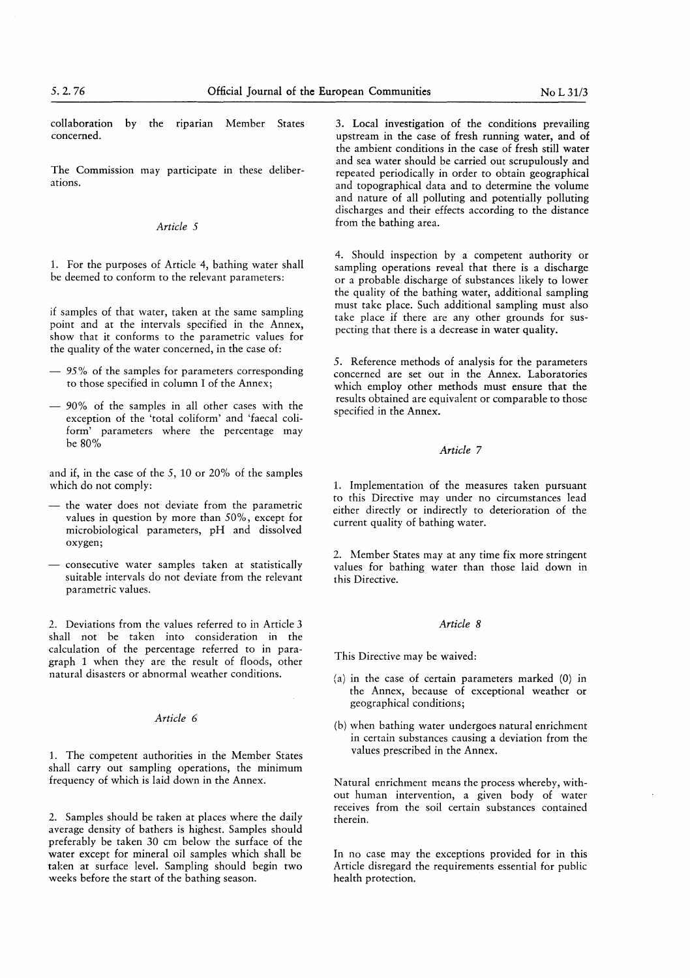collaboration by the riparian Member States concerned.

The Commission may participate in these deliberations.

# Article 5

1. For the purposes of Article 4, bathing water shall be deemed to conform to the relevant parameters:

if samples of that water, taken at the same sampling point and at the intervals specified in the Annex, show that it conforms to the parametric values for the quality of the water concerned, in the case of:

- 95% of the samples for parameters corresponding to those specified in column I of the Annex;
- 90% of the samples in all other cases with the exception of the 'total coliform' and 'faecal coliform' parameters where the percentage may be 80%

and if, in the case of the 5 , 10 or 20% of the samples which do not comply:

- the water does not deviate from the parametric values in question by more than 50% , except for microbiological parameters, pH and dissolved oxygen;
- consecutive water samples taken at statistically suitable intervals do not deviate from the relevant parametric values.

2. Deviations from the values referred to in Article 3 shall not be taken into consideration in the calculation of the percentage referred to in paragraph <sup>1</sup> when they are the result of floods, other natural disasters or abnormal weather conditions.

# Article 6

1. The competent authorities in the Member States shall carry out sampling operations, the minimum frequency of which is laid down in the Annex.

2. Samples should be taken at places where the daily average density of bathers is highest. Samples should preferably be taken 30 cm below the surface of the water except for mineral oil samples which shall be taken at surface level. Sampling should begin two weeks before the start of the bathing season.

3 . Local investigation of the conditions prevailing upstream in the case of fresh running water, and of the ambient conditions in the case of fresh still water and sea water should be carried out scrupulously and repeated periodically in order to obtain geographical and topographical data and to determine the volume and nature of all polluting and potentially polluting discharges and their effects according to the distance from the bathing area.

4. Should inspection by a competent authority or sampling operations reveal that there is a discharge or a probable discharge of substances likely to lower the quality of the bathing water, additional sampling must take place. Such additional sampling must also take place if there are any other grounds for suspecting that there is a decrease in water quality.

5 . Reference methods of analysis for the parameters concerned are set out in the Annex. Laboratories which employ other methods must ensure that the results obtained are equivalent or comparable to those specified in the Annex.

# Article 7

1. Implementation of the measures taken pursuant to this Directive may under no circumstances lead either directly or indirectly to deterioration of the current quality of bathing water.

2. Member States may at any time fix more stringent values for bathing water than those laid down in this Directive.

### Article 8

This Directive may be waived:

- $(a)$  in the case of certain parameters marked  $(0)$  in the Annex, because of exceptional weather or geographical conditions;
- $(b)$  when bathing water undergoes natural enrichment in certain substances causing a deviation from the values prescribed in the Annex.

Natural enrichment means the process whereby, without human intervention, a given body of water receives from the soil certain substances contained therein.

In no case may the exceptions provided for in this Article disregard the requirements essential for public health protection.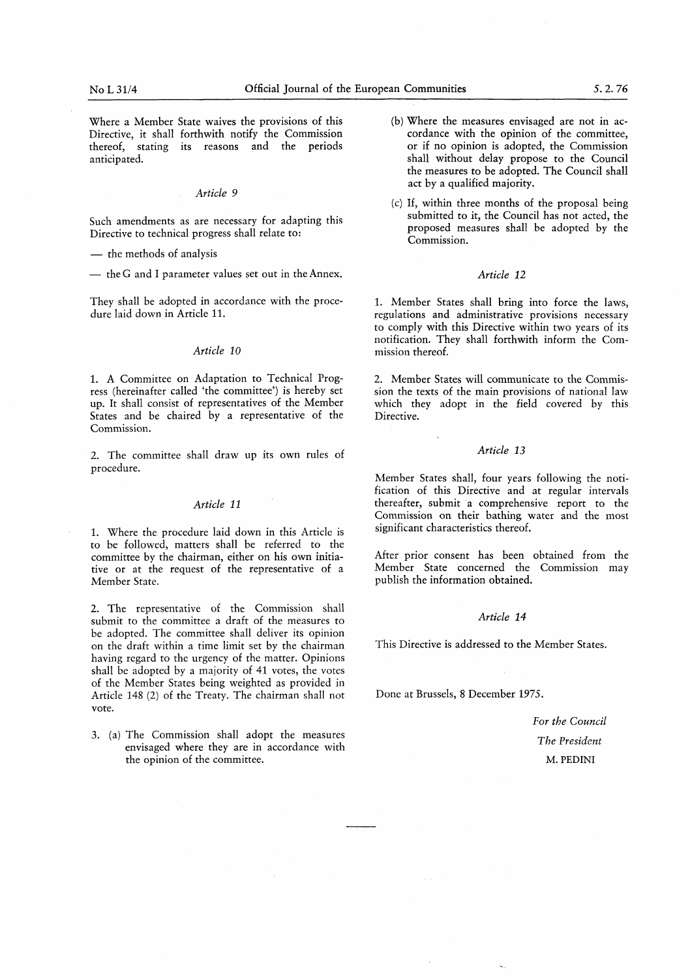Where a Member State waives the provisions of this Directive, it shall forthwith notify the Commission thereof, stating its reasons and the periods anticipated.

#### Article 9

Such amendments as are necessary for adapting this Directive to technical progress shall relate to :

— the methods of analysis

— the G and I parameter values set out in the Annex. Article 12

They shall be adopted in accordance with the procedure laid down in Article 11.

# Article 10

<sup>1</sup> . A Committee on Adaptation to Technical Progress (hereinafter called 'the committee') is hereby set up. It shall consist of representatives of the Member States and be chaired by a representative of the Commission.

2. The committee shall draw up its own rules of procedure.

# Article 11

1. Where the procedure laid down in this Article is to be followed, matters shall be referred to the committee by the chairman, either on his own initiative or at the request of the representative of a Member State.

2. The representative of the Commission shall submit to the committee a draft of the measures to be adopted. The committee shall deliver its opinion on the draft within a time limit set by the chairman having regard to the urgency of the matter. Opinions shall be adopted by a majority of 41 votes, the votes of the Member States being weighted as provided in Article 148 (2) of the Treaty. The chairman shall not vote.

3. (a) The Commission shall adopt the measures envisaged where they are in accordance with the opinion of the committee.

- (b) Where the measures envisaged are not in accordance with the opinion of the committee, or if no opinion is adopted, the Commission shall without delay propose to the Council the measures to be adopted. The Council shall act by a qualified majority.
- ( c) If, within three months of the proposal being submitted to it, the Council has not acted, the proposed measures shall be adopted by the Commission.

1. Member States shall bring into force the laws, regulations and administrative provisions necessary to comply with this Directive within two years of its notification. They shall forthwith inform the Commission thereof.

2. Member States will communicate to the Commission the texts of the main provisions of national law which they adopt in the field covered by this Directive.

# Article 13

Member States shall, four years following the notification of this Directive and at regular intervals thereafter, submit a comprehensive report to the Commission on their bathing water and the most significant characteristics thereof.

After prior consent has been obtained from the Member State concerned the Commission may publish the information obtained.

### Article 14

This Directive is addressed to the Member States.

Done at Brussels, 8 December 1975.

For the Council The President M. PEDINI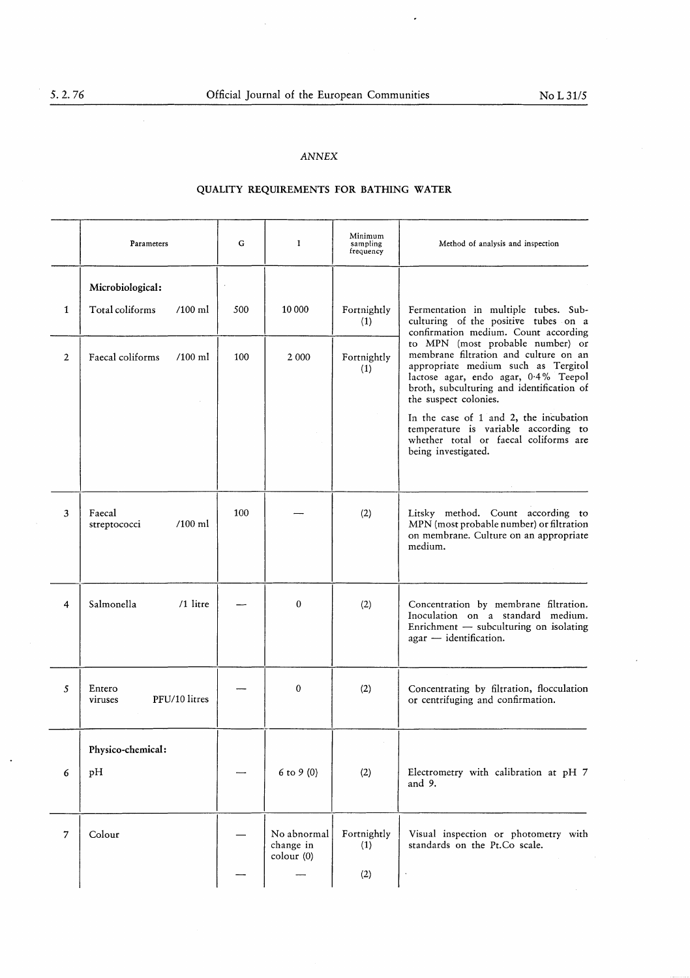$\ddot{\phantom{0}}$ 

# ANNEX

# QUALITY REQUIREMENTS FOR BATHING WATER

|                | Parameters                          | G   | $\mathbf{I}$                           | Minimum<br>sampling<br>frequency | Method of analysis and inspection                                                                                                                                                                                                                                                                                                                                                                                                                                                                        |
|----------------|-------------------------------------|-----|----------------------------------------|----------------------------------|----------------------------------------------------------------------------------------------------------------------------------------------------------------------------------------------------------------------------------------------------------------------------------------------------------------------------------------------------------------------------------------------------------------------------------------------------------------------------------------------------------|
|                | Microbiological:                    |     |                                        |                                  |                                                                                                                                                                                                                                                                                                                                                                                                                                                                                                          |
| $\mathbf{1}$   | Total coliforms<br>$/100$ ml        | 500 | 10 000                                 | Fortnightly<br>(1)               | Fermentation in multiple tubes. Sub-<br>culturing of the positive tubes on a<br>confirmation medium. Count according<br>to MPN (most probable number) or<br>membrane filtration and culture on an<br>appropriate medium such as Tergitol<br>lactose agar, endo agar, 0.4% Teepol<br>broth, subculturing and identification of<br>the suspect colonies.<br>In the case of 1 and 2, the incubation<br>temperature is variable according to<br>whether total or faecal coliforms are<br>being investigated. |
| $\overline{2}$ | Faecal coliforms<br>$/100$ ml       | 100 | 2 0 0 0                                | Fortnightly<br>(1)               |                                                                                                                                                                                                                                                                                                                                                                                                                                                                                                          |
| 3              | Faecal<br>$/100$ ml<br>streptococci | 100 |                                        | (2)                              | Litsky method. Count according to<br>MPN (most probable number) or filtration<br>on membrane. Culture on an appropriate<br>medium.                                                                                                                                                                                                                                                                                                                                                                       |
| 4              | /1 litre<br>Salmonella              |     | 0                                      | (2)                              | Concentration by membrane filtration.<br>Inoculation on a standard medium.<br>Enrichment - subculturing on isolating<br>agar - identification.                                                                                                                                                                                                                                                                                                                                                           |
| 5              | Entero<br>PFU/10 litres<br>viruses  |     | 0                                      | (2)                              | Concentrating by filtration, flocculation<br>or centrifuging and confirmation.                                                                                                                                                                                                                                                                                                                                                                                                                           |
|                | Physico-chemical:                   |     |                                        |                                  |                                                                                                                                                                                                                                                                                                                                                                                                                                                                                                          |
| 6              | pH                                  |     | 6 to 9 (0)                             | (2)                              | Electrometry with calibration at pH 7<br>and $9$ .                                                                                                                                                                                                                                                                                                                                                                                                                                                       |
| $\overline{7}$ | Colour                              |     | No abnormal<br>change in<br>colour (0) | Fortnightly<br>(1)               | Visual inspection or photometry with<br>standards on the Pt.Co scale.                                                                                                                                                                                                                                                                                                                                                                                                                                    |
|                |                                     |     |                                        | (2)                              |                                                                                                                                                                                                                                                                                                                                                                                                                                                                                                          |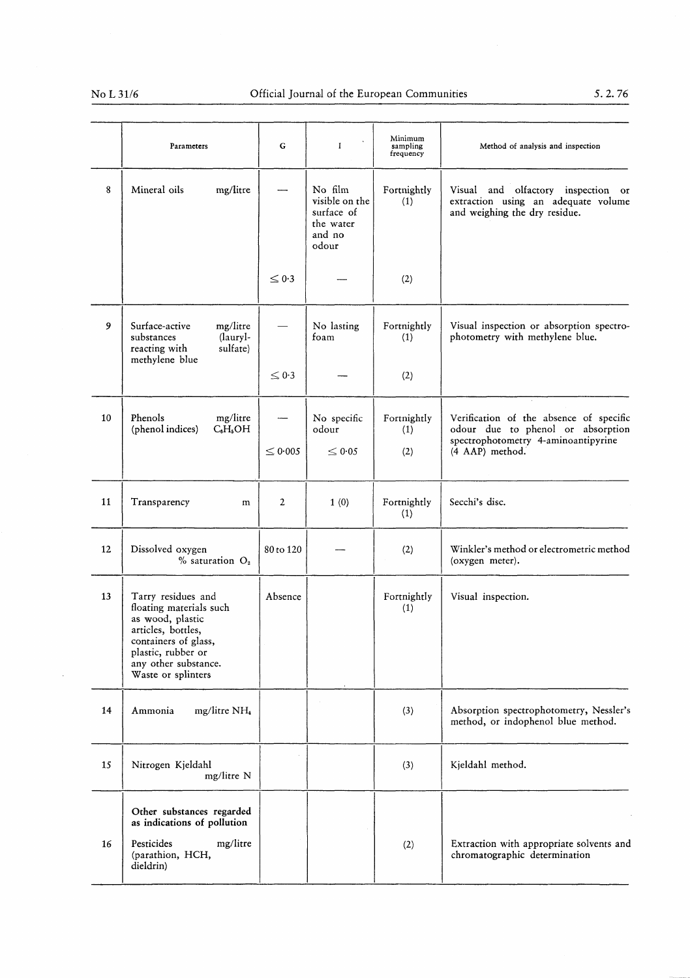|    | Parameters                                                                                                                                                                          | G            | I                                                                       | Minimum<br>sampling<br>frequency | Method of analysis and inspection                                                                                                      |
|----|-------------------------------------------------------------------------------------------------------------------------------------------------------------------------------------|--------------|-------------------------------------------------------------------------|----------------------------------|----------------------------------------------------------------------------------------------------------------------------------------|
| 8  | Mineral oils<br>mg/litre                                                                                                                                                            |              | No film<br>visible on the<br>surface of<br>the water<br>and no<br>odour | Fortnightly<br>(1)               | Visual and olfactory inspection or<br>extraction using an adequate volume<br>and weighing the dry residue.                             |
|    |                                                                                                                                                                                     | $\leq 0.3$   |                                                                         | (2)                              |                                                                                                                                        |
| 9  | Surface-active<br>mg/litre<br>substances<br>(lauryl-<br>reacting with<br>sulfate)<br>methylene blue                                                                                 |              | No lasting<br>foam                                                      | Fortnightly<br>(1)               | Visual inspection or absorption spectro-<br>photometry with methylene blue.                                                            |
|    |                                                                                                                                                                                     | $\leq 0.3$   |                                                                         | (2)                              |                                                                                                                                        |
| 10 | Phenols<br>mg/litre<br>(phenol indices)<br>$C_6H_6OH$                                                                                                                               | $\leq 0.005$ | No specific<br>odour<br>$\leq 0.05$                                     | Fortnightly<br>(1)<br>(2)        | Verification of the absence of specific<br>odour due to phenol or absorption<br>spectrophotometry 4-aminoantipyrine<br>(4 AAP) method. |
|    |                                                                                                                                                                                     |              |                                                                         |                                  |                                                                                                                                        |
| 11 | Transparency<br>m                                                                                                                                                                   | 2            | 1(0)                                                                    | Fortnightly<br>(1)               | Secchi's disc.                                                                                                                         |
| 12 | Dissolved oxygen<br>$%$ saturation $O2$                                                                                                                                             | 80 to 120    |                                                                         | (2)                              | Winkler's method or electrometric method<br>(oxygen meter).                                                                            |
| 13 | Tarry residues and<br>floating materials such<br>as wood, plastic<br>articles, bottles,<br>containers of glass,<br>plastic, rubber or<br>any other substance.<br>Waste or splinters | Absence      |                                                                         | Fortnightly<br>(1)               | Visual inspection.                                                                                                                     |
| 14 | Ammonia<br>mg/litre NH <sub>4</sub>                                                                                                                                                 |              |                                                                         | (3)                              | Absorption spectrophotometry, Nessler's<br>method, or indophenol blue method.                                                          |
| 15 | Nitrogen Kjeldahl<br>mg/litre N                                                                                                                                                     |              |                                                                         | (3)                              | Kjeldahl method.                                                                                                                       |
| 16 | Other substances regarded<br>as indications of pollution<br>Pesticides<br>mg/litre<br>(parathion, HCH,<br>dieldrin)                                                                 |              |                                                                         | (2)                              | Extraction with appropriate solvents and<br>chromatographic determination                                                              |